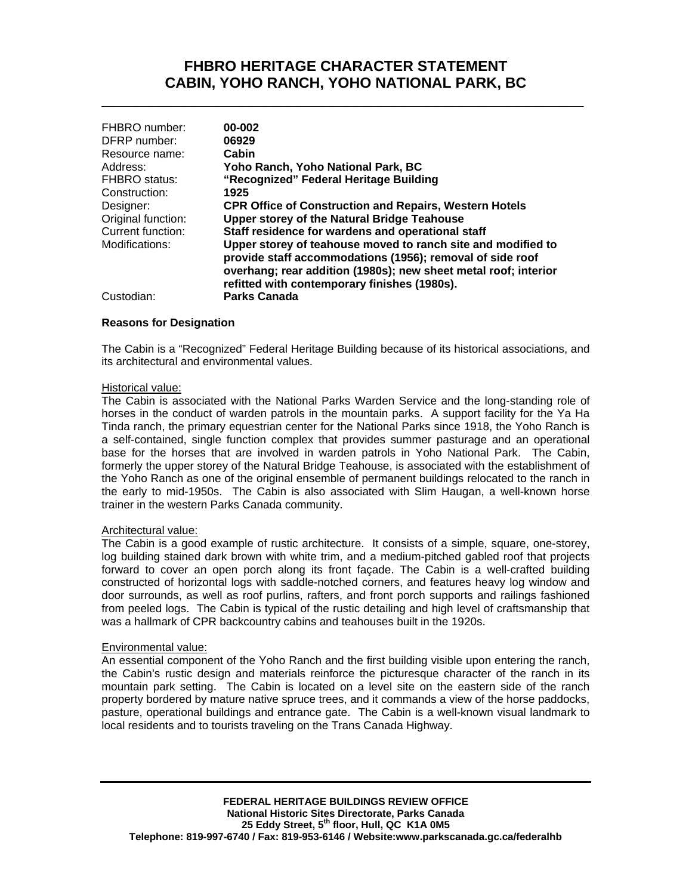# **FHBRO HERITAGE CHARACTER STATEMENT CABIN, YOHO RANCH, YOHO NATIONAL PARK, BC**

**\_\_\_\_\_\_\_\_\_\_\_\_\_\_\_\_\_\_\_\_\_\_\_\_\_\_\_\_\_\_\_\_\_\_\_\_\_\_\_\_\_\_\_\_\_\_\_\_\_\_\_\_\_\_\_\_\_\_\_**

| FHBRO number:<br>DFRP number: | 00-002<br>06929                                                                                                                                                                                                                              |
|-------------------------------|----------------------------------------------------------------------------------------------------------------------------------------------------------------------------------------------------------------------------------------------|
| Resource name:                | Cabin                                                                                                                                                                                                                                        |
| Address:                      | Yoho Ranch, Yoho National Park, BC                                                                                                                                                                                                           |
| <b>FHBRO</b> status:          | "Recognized" Federal Heritage Building                                                                                                                                                                                                       |
| Construction:                 | 1925                                                                                                                                                                                                                                         |
| Designer:                     | <b>CPR Office of Construction and Repairs, Western Hotels</b>                                                                                                                                                                                |
| Original function:            | <b>Upper storey of the Natural Bridge Teahouse</b>                                                                                                                                                                                           |
| Current function:             | Staff residence for wardens and operational staff                                                                                                                                                                                            |
| Modifications:                | Upper storey of teahouse moved to ranch site and modified to<br>provide staff accommodations (1956); removal of side roof<br>overhang; rear addition (1980s); new sheet metal roof; interior<br>refitted with contemporary finishes (1980s). |
| Custodian:                    | <b>Parks Canada</b>                                                                                                                                                                                                                          |

### **Reasons for Designation**

The Cabin is a "Recognized" Federal Heritage Building because of its historical associations, and its architectural and environmental values.

#### Historical value:

The Cabin is associated with the National Parks Warden Service and the long-standing role of horses in the conduct of warden patrols in the mountain parks. A support facility for the Ya Ha Tinda ranch, the primary equestrian center for the National Parks since 1918, the Yoho Ranch is a self-contained, single function complex that provides summer pasturage and an operational base for the horses that are involved in warden patrols in Yoho National Park. The Cabin, formerly the upper storey of the Natural Bridge Teahouse, is associated with the establishment of the Yoho Ranch as one of the original ensemble of permanent buildings relocated to the ranch in the early to mid-1950s. The Cabin is also associated with Slim Haugan, a well-known horse trainer in the western Parks Canada community.

## Architectural value:

The Cabin is a good example of rustic architecture. It consists of a simple, square, one-storey, log building stained dark brown with white trim, and a medium-pitched gabled roof that projects forward to cover an open porch along its front façade. The Cabin is a well-crafted building constructed of horizontal logs with saddle-notched corners, and features heavy log window and door surrounds, as well as roof purlins, rafters, and front porch supports and railings fashioned from peeled logs. The Cabin is typical of the rustic detailing and high level of craftsmanship that was a hallmark of CPR backcountry cabins and teahouses built in the 1920s.

#### Environmental value:

An essential component of the Yoho Ranch and the first building visible upon entering the ranch, the Cabin's rustic design and materials reinforce the picturesque character of the ranch in its mountain park setting. The Cabin is located on a level site on the eastern side of the ranch property bordered by mature native spruce trees, and it commands a view of the horse paddocks, pasture, operational buildings and entrance gate. The Cabin is a well-known visual landmark to local residents and to tourists traveling on the Trans Canada Highway.